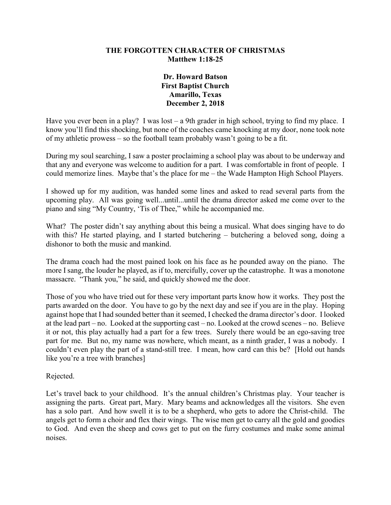### **THE FORGOTTEN CHARACTER OF CHRISTMAS Matthew 1:18-25**

## **Dr. Howard Batson First Baptist Church Amarillo, Texas December 2, 2018**

Have you ever been in a play? I was lost – a 9th grader in high school, trying to find my place. I know you'll find this shocking, but none of the coaches came knocking at my door, none took note of my athletic prowess – so the football team probably wasn't going to be a fit.

During my soul searching, I saw a poster proclaiming a school play was about to be underway and that any and everyone was welcome to audition for a part. I was comfortable in front of people. I could memorize lines. Maybe that's the place for me – the Wade Hampton High School Players.

I showed up for my audition, was handed some lines and asked to read several parts from the upcoming play. All was going well...until...until the drama director asked me come over to the piano and sing "My Country, 'Tis of Thee," while he accompanied me.

What? The poster didn't say anything about this being a musical. What does singing have to do with this? He started playing, and I started butchering – butchering a beloved song, doing a dishonor to both the music and mankind.

The drama coach had the most pained look on his face as he pounded away on the piano. The more I sang, the louder he played, as if to, mercifully, cover up the catastrophe. It was a monotone massacre. "Thank you," he said, and quickly showed me the door.

Those of you who have tried out for these very important parts know how it works. They post the parts awarded on the door. You have to go by the next day and see if you are in the play. Hoping against hope that I had sounded better than it seemed, I checked the drama director's door. I looked at the lead part – no. Looked at the supporting cast – no. Looked at the crowd scenes – no. Believe it or not, this play actually had a part for a few trees. Surely there would be an ego-saving tree part for me. But no, my name was nowhere, which meant, as a ninth grader, I was a nobody. I couldn't even play the part of a stand-still tree. I mean, how card can this be? [Hold out hands like you're a tree with branches]

Rejected.

Let's travel back to your childhood. It's the annual children's Christmas play. Your teacher is assigning the parts. Great part, Mary. Mary beams and acknowledges all the visitors. She even has a solo part. And how swell it is to be a shepherd, who gets to adore the Christ-child. The angels get to form a choir and flex their wings. The wise men get to carry all the gold and goodies to God. And even the sheep and cows get to put on the furry costumes and make some animal noises.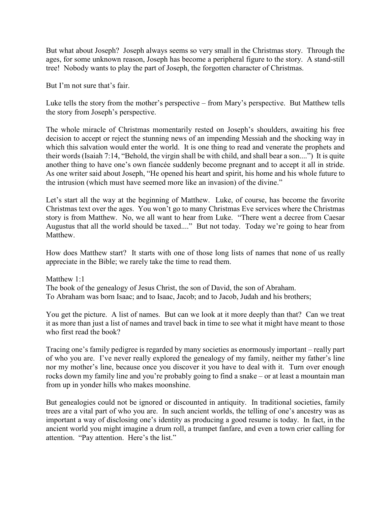But what about Joseph? Joseph always seems so very small in the Christmas story. Through the ages, for some unknown reason, Joseph has become a peripheral figure to the story. A stand-still tree! Nobody wants to play the part of Joseph, the forgotten character of Christmas.

But I'm not sure that's fair.

Luke tells the story from the mother's perspective – from Mary's perspective. But Matthew tells the story from Joseph's perspective.

The whole miracle of Christmas momentarily rested on Joseph's shoulders, awaiting his free decision to accept or reject the stunning news of an impending Messiah and the shocking way in which this salvation would enter the world. It is one thing to read and venerate the prophets and their words (Isaiah 7:14, "Behold, the virgin shall be with child, and shall bear a son....") It is quite another thing to have one's own fiancée suddenly become pregnant and to accept it all in stride. As one writer said about Joseph, "He opened his heart and spirit, his home and his whole future to the intrusion (which must have seemed more like an invasion) of the divine."

Let's start all the way at the beginning of Matthew. Luke, of course, has become the favorite Christmas text over the ages. You won't go to many Christmas Eve services where the Christmas story is from Matthew. No, we all want to hear from Luke. "There went a decree from Caesar Augustus that all the world should be taxed...." But not today. Today we're going to hear from Matthew.

How does Matthew start? It starts with one of those long lists of names that none of us really appreciate in the Bible; we rarely take the time to read them.

Matthew 1:1 The book of the genealogy of Jesus Christ, the son of David, the son of Abraham. To Abraham was born Isaac; and to Isaac, Jacob; and to Jacob, Judah and his brothers;

You get the picture. A list of names. But can we look at it more deeply than that? Can we treat it as more than just a list of names and travel back in time to see what it might have meant to those who first read the book?

Tracing one's family pedigree is regarded by many societies as enormously important – really part of who you are. I've never really explored the genealogy of my family, neither my father's line nor my mother's line, because once you discover it you have to deal with it. Turn over enough rocks down my family line and you're probably going to find a snake – or at least a mountain man from up in yonder hills who makes moonshine.

But genealogies could not be ignored or discounted in antiquity. In traditional societies, family trees are a vital part of who you are. In such ancient worlds, the telling of one's ancestry was as important a way of disclosing one's identity as producing a good resume is today. In fact, in the ancient world you might imagine a drum roll, a trumpet fanfare, and even a town crier calling for attention. "Pay attention. Here's the list."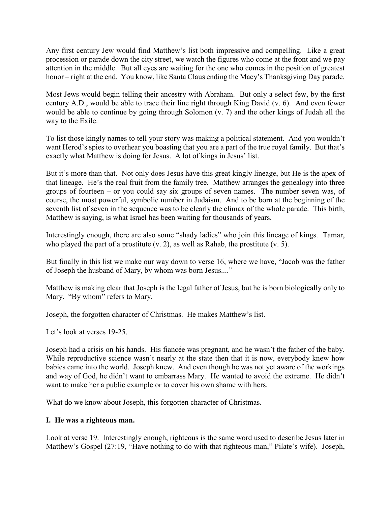Any first century Jew would find Matthew's list both impressive and compelling. Like a great procession or parade down the city street, we watch the figures who come at the front and we pay attention in the middle. But all eyes are waiting for the one who comes in the position of greatest honor – right at the end. You know, like Santa Claus ending the Macy's Thanksgiving Day parade.

Most Jews would begin telling their ancestry with Abraham. But only a select few, by the first century A.D., would be able to trace their line right through King David (v. 6). And even fewer would be able to continue by going through Solomon (v. 7) and the other kings of Judah all the way to the Exile.

To list those kingly names to tell your story was making a political statement. And you wouldn't want Herod's spies to overhear you boasting that you are a part of the true royal family. But that's exactly what Matthew is doing for Jesus. A lot of kings in Jesus' list.

But it's more than that. Not only does Jesus have this great kingly lineage, but He is the apex of that lineage. He's the real fruit from the family tree. Matthew arranges the genealogy into three groups of fourteen – or you could say six groups of seven names. The number seven was, of course, the most powerful, symbolic number in Judaism. And to be born at the beginning of the seventh list of seven in the sequence was to be clearly the climax of the whole parade. This birth, Matthew is saying, is what Israel has been waiting for thousands of years.

Interestingly enough, there are also some "shady ladies" who join this lineage of kings. Tamar, who played the part of a prostitute (v. 2), as well as Rahab, the prostitute (v. 5).

But finally in this list we make our way down to verse 16, where we have, "Jacob was the father of Joseph the husband of Mary, by whom was born Jesus...."

Matthew is making clear that Joseph is the legal father of Jesus, but he is born biologically only to Mary. "By whom" refers to Mary.

Joseph, the forgotten character of Christmas. He makes Matthew's list.

Let's look at verses 19-25.

Joseph had a crisis on his hands. His fiancée was pregnant, and he wasn't the father of the baby. While reproductive science wasn't nearly at the state then that it is now, everybody knew how babies came into the world. Joseph knew. And even though he was not yet aware of the workings and way of God, he didn't want to embarrass Mary. He wanted to avoid the extreme. He didn't want to make her a public example or to cover his own shame with hers.

What do we know about Joseph, this forgotten character of Christmas.

#### **I. He was a righteous man.**

Look at verse 19. Interestingly enough, righteous is the same word used to describe Jesus later in Matthew's Gospel (27:19, "Have nothing to do with that righteous man," Pilate's wife). Joseph,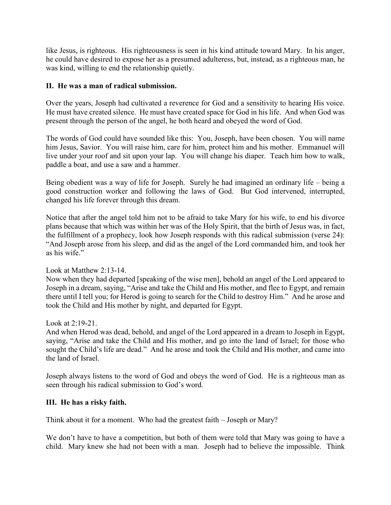like Jesus, is righteous. His righteousness is seen in his kind attitude toward Mary. In his anger, he could have desired to expose her as a presumed adulteress, but, instead, as a righteous man, he was kind, willing to end the relationship quietly.

### **II. He was a man of radical submission.**

Over the years, Joseph had cultivated a reverence for God and a sensitivity to hearing His voice. He must have created silence. He must have created space for God in his life. And when God was present through the person of the angel, he both heard and obeyed the word of God.

The words of God could have sounded like this: You, Joseph, have been chosen. You will name him Jesus, Savior. You will raise him, care for him, protect him and his mother. Emmanuel will live under your roof and sit upon your lap. You will change his diaper. Teach him how to walk, paddle a boat, and use a saw and a hammer.

Being obedient was a way of life for Joseph. Surely he had imagined an ordinary life – being a good construction worker and following the laws of God. But God intervened, interrupted, changed his life forever through this dream.

Notice that after the angel told him not to be afraid to take Mary for his wife, to end his divorce plans because that which was within her was of the Holy Spirit, that the birth of Jesus was, in fact, the fulfillment of a prophecy, look how Joseph responds with this radical submission (verse 24): "And Joseph arose from his sleep, and did as the angel of the Lord commanded him, and took her as his wife."

#### Look at Matthew 2:13-14.

Now when they had departed [speaking of the wise men], behold an angel of the Lord appeared to Joseph in a dream, saying, "Arise and take the Child and His mother, and flee to Egypt, and remain there until I tell you; for Herod is going to search for the Child to destroy Him." And he arose and took the Child and His mother by night, and departed for Egypt.

#### Look at 2:19-21.

And when Herod was dead, behold, and angel of the Lord appeared in a dream to Joseph in Egypt, saying, "Arise and take the Child and His mother, and go into the land of Israel; for those who sought the Child's life are dead." And he arose and took the Child and His mother, and came into the land of Israel.

Joseph always listens to the word of God and obeys the word of God. He is a righteous man as seen through his radical submission to God's word.

#### **III. He has a risky faith.**

Think about it for a moment. Who had the greatest faith – Joseph or Mary?

We don't have to have a competition, but both of them were told that Mary was going to have a child. Mary knew she had not been with a man. Joseph had to believe the impossible. Think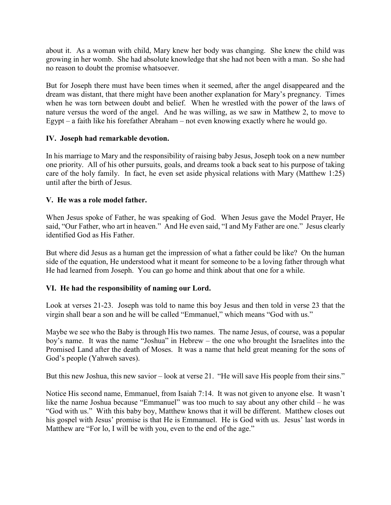about it. As a woman with child, Mary knew her body was changing. She knew the child was growing in her womb. She had absolute knowledge that she had not been with a man. So she had no reason to doubt the promise whatsoever.

But for Joseph there must have been times when it seemed, after the angel disappeared and the dream was distant, that there might have been another explanation for Mary's pregnancy. Times when he was torn between doubt and belief. When he wrestled with the power of the laws of nature versus the word of the angel. And he was willing, as we saw in Matthew 2, to move to Egypt – a faith like his forefather Abraham – not even knowing exactly where he would go.

## **IV. Joseph had remarkable devotion.**

In his marriage to Mary and the responsibility of raising baby Jesus, Joseph took on a new number one priority. All of his other pursuits, goals, and dreams took a back seat to his purpose of taking care of the holy family. In fact, he even set aside physical relations with Mary (Matthew 1:25) until after the birth of Jesus.

# **V. He was a role model father.**

When Jesus spoke of Father, he was speaking of God. When Jesus gave the Model Prayer, He said, "Our Father, who art in heaven." And He even said, "I and My Father are one." Jesus clearly identified God as His Father.

But where did Jesus as a human get the impression of what a father could be like? On the human side of the equation, He understood what it meant for someone to be a loving father through what He had learned from Joseph. You can go home and think about that one for a while.

# **VI. He had the responsibility of naming our Lord.**

Look at verses 21-23. Joseph was told to name this boy Jesus and then told in verse 23 that the virgin shall bear a son and he will be called "Emmanuel," which means "God with us."

Maybe we see who the Baby is through His two names. The name Jesus, of course, was a popular boy's name. It was the name "Joshua" in Hebrew – the one who brought the Israelites into the Promised Land after the death of Moses. It was a name that held great meaning for the sons of God's people (Yahweh saves).

But this new Joshua, this new savior – look at verse 21. "He will save His people from their sins."

Notice His second name, Emmanuel, from Isaiah 7:14. It was not given to anyone else. It wasn't like the name Joshua because "Emmanuel" was too much to say about any other child – he was "God with us." With this baby boy, Matthew knows that it will be different. Matthew closes out his gospel with Jesus' promise is that He is Emmanuel. He is God with us. Jesus' last words in Matthew are "For lo, I will be with you, even to the end of the age."